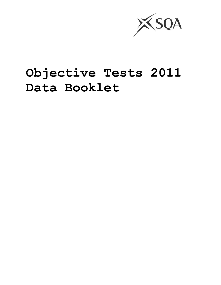

# **Objective Tests 2011 Data Booklet**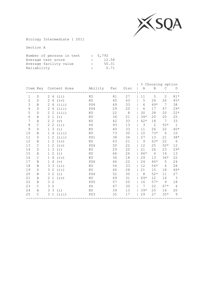

Biology Intermediate 1 2011

| Number of persons in test |                         | : 5,792 |
|---------------------------|-------------------------|---------|
| Average test score        | $\bullet$ and $\bullet$ | 12.58   |
| Average facility value    | $\mathbb{R}$            | 50.31   |
| Reliability               | $\mathcal{L}$           | 0.71    |

|              |               |                               |                       |                 |     |      | ွေ<br>Choosing option |       |                |               |
|--------------|---------------|-------------------------------|-----------------------|-----------------|-----|------|-----------------------|-------|----------------|---------------|
|              |               |                               | Item Key Content Area | Ability         | Fac | Disc | A                     | B     | C              | D             |
| $\mathbf 1$  | D             | 2<br>4                        | (iii)                 | KU              | 81  | 27   | 11                    | 5     | $\overline{2}$ | $81*$         |
| $\mathbf{2}$ | D             | 2<br>4                        | (iv)                  | KU              | 45  | 43   | 5                     | 24    | 26             | $45*$         |
| 3            | B             | 2<br>4                        | (iii)                 | PS4             | 49  | 33   | 6                     | $49*$ | 7              | 38            |
| 4            | D             | $\overline{2}$<br>4           | (iii)                 | PS4             | 29  | 20   | 6                     | 17    | 47             | $29*$         |
| 5            | D             | 2<br>$\mathbf{2}^{\prime}$    | (iii)                 | KU              | 22  | 8    | 30                    | 28    | 20             | $22*$         |
| 6            | Α             | 2<br>$\mathbf 1$              | (i)                   | KU              | 34  | 21   | $34*$                 | 20    | 20             | 25            |
| 7            | Α             | $\mathbf{2}$<br>2             | (v)                   | KU              | 42  | 33   | $42*$                 | 18    | 7              | 33            |
| 8            | $\mathsf{C}$  | $\mathbf{2}^{\prime}$<br>2    | (iii)                 | PS              | 93  | 13   | 3                     | 2     | $93*$          | $\mathbf{1}$  |
| 9            | D             | 3<br>$\mathbf{1}$             | (i)                   | ΚU              | 40  | 33   | 11                    | 26    | 22             | $40*$         |
| 10           | B             | 4<br>$\mathbf{1}$             | (iii)                 | KU              | 73  | 30   | 10                    | $73*$ | 6              | 10            |
| 11           | D             | $\mathbf 1$<br>$\overline{2}$ | (iii)                 | PS1             | 38  | 34   | 27                    | 13    | 21             | $38*$         |
| 12           | B             | 2<br>1                        | (iv)                  | KU              | 63  | 21   | 9                     | $63*$ | 22             | 6             |
| 13           | $\mathsf{C}$  | 2<br>1                        | (iv)                  | PS4             | 50  | 22   | 12                    | 25    | $50*$          | 12            |
| 14           | D             | 3<br>$\mathbf{1}$             | (i)                   | ΚU              | 29  | 20   | 21                    | 26    | 23             | $29*$         |
| 15           | Α             | $\overline{2}$<br>1           | (i)                   | KU              | 66  | 26   | 66*                   | 6     | 14             | 13            |
| 16           | $\mathsf{C}$  | $\mathbf{1}$<br>4             | (iv)                  | KU              | 36  | 18   | 29                    | 13    | $36*$          | 22            |
| 17           | B             | $\mathbf{1}$<br>4             | (v)                   | PS6             | 46  | 22   | 24                    | 46*   | 5              | 24            |
| 18           | B             | 3<br>3                        | (iii)                 | ΚU              | 54  | 33   | 12                    | $54*$ | 6              | 28            |
| 19           | D             | 3<br>2                        | (i)                   | ΚU              | 46  | 28   | 21                    | 15    | 18             | $46*$         |
| 20           | B             | $\overline{2}$<br>3           | (i)                   | PS4             | 52  | 30   | 8                     | $52*$ | 11             | 27            |
| 21           | Α             | $\mathbf{2}$<br>$\mathbf{1}$  | (iv)                  | ΚU              | 69  | 31   | $69*$                 | 12    | 16             | $\mathcal{S}$ |
| 22           | B             | 3<br>2                        |                       | PS <sub>5</sub> | 57  | 20   | 16                    | $57*$ | 9              | 18            |
| 23           | $\mathcal{C}$ | $\overline{2}$<br>3           |                       | PS              | 67  | 30   | 7                     | 22    | $67*$          | 4             |
| 24           | Α             | 3<br>3                        | (i)                   | KU              | 39  | 13   | $39*$                 | 25    | 16             | 20            |
| 25           | $\mathsf{C}$  | 3<br>$\mathbf{1}$             | (iii)                 | PS3             | 35  | 17   | 29                    | 27    | $35*$          | $\mathsf 9$   |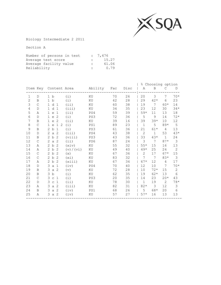

Biology Intermediate 2 2011

| Number of persons in test |              | : 7.476 |
|---------------------------|--------------|---------|
| Average test score        |              | 15.27   |
| Average facility value    | $\mathbf{r}$ | 61.06   |
| Reliability               | $\mathbb{R}$ | 0.79    |

| Ability<br>Disc<br>Item Key Content Area<br>B<br>Fac<br>A<br>D<br>C<br>3<br>26<br>20<br>$70*$<br>$\mathbf{1}$<br>70<br>7<br>b<br>(i)<br>$\mathbf{1}$<br>KU<br>D<br>$\overline{c}$<br>23<br>28<br>29<br>$42*$<br>$6\overline{6}$<br>$\mathbf b$<br>(i)<br>KU<br>42<br>B<br>$\mathbf{1}$<br>3<br>38<br>19<br>7<br>14<br>60<br>$60*$<br>$\mathsf{C}$<br>d <sub>1</sub><br>(i)<br>$\mathbf{1}$<br>KU<br>35<br>12<br>$34*$<br>4<br>34<br>23<br>d <sub>1</sub><br>(iii)<br>KU<br>30<br>$\mathbf{1}$<br>D<br>5<br>59<br>39<br>18<br>(iii)<br>PS4<br>$59*$<br>11<br>13<br>Α<br>$\mathbf{1}$<br>$\epsilon$<br>1<br>9<br>6<br>72<br>36<br>5<br>$72*$<br>-2<br>14<br>$\mathbf{1}$<br>$\mathsf{e}% _{t}\left( t\right)$<br>(i)<br>PS3<br>D<br>7<br>$39*$<br>12<br>39<br>16<br>39<br>(i)<br>10<br>B<br>$\mathbf{1}$<br>$\mathrel{\mathop{\mathrm{e}}\nolimits}$<br>-2<br>ΚU<br>5<br>8<br>5<br>89<br>23<br>$\mathbf{1}$<br>$89*$<br>(i)<br>PS1<br>$\mathsf{C}$<br>1 e<br>1<br>- 2<br>9<br>13<br>36<br>$\overline{2}$<br>b<br>1<br>(i)<br>PS3<br>61<br>21<br>$61*$<br>B<br>4<br>$43*$<br>2<br>53<br>10<br>2a2<br>(iii)<br>43<br>38<br>$\mathbf{1}$<br>PS4<br>D<br>11<br>43<br>36<br>33<br>$43*$<br>$\overline{1}$<br>24<br>$\mathbf{2}^{\circ}$<br>b<br>2<br>PS3<br>B<br>(viii)<br>3<br>87<br>3<br>7<br>$87*$<br>12<br>2a2<br>(iii)<br>PS6<br>24<br>$\mathsf{C}$<br>32<br>15<br>13<br>13<br>2 b<br>-2<br>55<br>$55*$<br>16<br>Α<br>(xiv)<br>KU |         |
|---------------------------------------------------------------------------------------------------------------------------------------------------------------------------------------------------------------------------------------------------------------------------------------------------------------------------------------------------------------------------------------------------------------------------------------------------------------------------------------------------------------------------------------------------------------------------------------------------------------------------------------------------------------------------------------------------------------------------------------------------------------------------------------------------------------------------------------------------------------------------------------------------------------------------------------------------------------------------------------------------------------------------------------------------------------------------------------------------------------------------------------------------------------------------------------------------------------------------------------------------------------------------------------------------------------------------------------------------------------------------------------------------------------------------------|---------|
|                                                                                                                                                                                                                                                                                                                                                                                                                                                                                                                                                                                                                                                                                                                                                                                                                                                                                                                                                                                                                                                                                                                                                                                                                                                                                                                                                                                                                                 |         |
|                                                                                                                                                                                                                                                                                                                                                                                                                                                                                                                                                                                                                                                                                                                                                                                                                                                                                                                                                                                                                                                                                                                                                                                                                                                                                                                                                                                                                                 |         |
|                                                                                                                                                                                                                                                                                                                                                                                                                                                                                                                                                                                                                                                                                                                                                                                                                                                                                                                                                                                                                                                                                                                                                                                                                                                                                                                                                                                                                                 |         |
|                                                                                                                                                                                                                                                                                                                                                                                                                                                                                                                                                                                                                                                                                                                                                                                                                                                                                                                                                                                                                                                                                                                                                                                                                                                                                                                                                                                                                                 |         |
|                                                                                                                                                                                                                                                                                                                                                                                                                                                                                                                                                                                                                                                                                                                                                                                                                                                                                                                                                                                                                                                                                                                                                                                                                                                                                                                                                                                                                                 |         |
|                                                                                                                                                                                                                                                                                                                                                                                                                                                                                                                                                                                                                                                                                                                                                                                                                                                                                                                                                                                                                                                                                                                                                                                                                                                                                                                                                                                                                                 |         |
|                                                                                                                                                                                                                                                                                                                                                                                                                                                                                                                                                                                                                                                                                                                                                                                                                                                                                                                                                                                                                                                                                                                                                                                                                                                                                                                                                                                                                                 |         |
|                                                                                                                                                                                                                                                                                                                                                                                                                                                                                                                                                                                                                                                                                                                                                                                                                                                                                                                                                                                                                                                                                                                                                                                                                                                                                                                                                                                                                                 |         |
|                                                                                                                                                                                                                                                                                                                                                                                                                                                                                                                                                                                                                                                                                                                                                                                                                                                                                                                                                                                                                                                                                                                                                                                                                                                                                                                                                                                                                                 |         |
|                                                                                                                                                                                                                                                                                                                                                                                                                                                                                                                                                                                                                                                                                                                                                                                                                                                                                                                                                                                                                                                                                                                                                                                                                                                                                                                                                                                                                                 |         |
|                                                                                                                                                                                                                                                                                                                                                                                                                                                                                                                                                                                                                                                                                                                                                                                                                                                                                                                                                                                                                                                                                                                                                                                                                                                                                                                                                                                                                                 |         |
|                                                                                                                                                                                                                                                                                                                                                                                                                                                                                                                                                                                                                                                                                                                                                                                                                                                                                                                                                                                                                                                                                                                                                                                                                                                                                                                                                                                                                                 |         |
|                                                                                                                                                                                                                                                                                                                                                                                                                                                                                                                                                                                                                                                                                                                                                                                                                                                                                                                                                                                                                                                                                                                                                                                                                                                                                                                                                                                                                                 |         |
|                                                                                                                                                                                                                                                                                                                                                                                                                                                                                                                                                                                                                                                                                                                                                                                                                                                                                                                                                                                                                                                                                                                                                                                                                                                                                                                                                                                                                                 |         |
| 25<br>2<br>b<br>2<br>40<br>$49*$<br>24<br>$\overline{2}$<br>49<br>(v) / (vi)<br>ΚU                                                                                                                                                                                                                                                                                                                                                                                                                                                                                                                                                                                                                                                                                                                                                                                                                                                                                                                                                                                                                                                                                                                                                                                                                                                                                                                                              | 14<br>Α |
| 2<br>17<br>15<br>15<br>$\mathcal{C}$<br>2 b<br>67<br>36<br>$67*$<br>-2<br>(x)<br>KU                                                                                                                                                                                                                                                                                                                                                                                                                                                                                                                                                                                                                                                                                                                                                                                                                                                                                                                                                                                                                                                                                                                                                                                                                                                                                                                                             |         |
| 3<br>83<br>32<br>7<br>16<br>$\mathcal{C}$<br>2 b<br>-2<br>7<br>$83*$<br>(xi)<br>KU                                                                                                                                                                                                                                                                                                                                                                                                                                                                                                                                                                                                                                                                                                                                                                                                                                                                                                                                                                                                                                                                                                                                                                                                                                                                                                                                              |         |
| 17<br>17<br>2 b<br>67<br>$67*$<br>12<br>-2<br>(xiii)<br>KU<br>34<br>4<br>Α                                                                                                                                                                                                                                                                                                                                                                                                                                                                                                                                                                                                                                                                                                                                                                                                                                                                                                                                                                                                                                                                                                                                                                                                                                                                                                                                                      |         |
| 10<br>7<br>$70*$<br>18<br>3a1<br>70<br>40<br>12<br>(iv)<br>PS4<br>D                                                                                                                                                                                                                                                                                                                                                                                                                                                                                                                                                                                                                                                                                                                                                                                                                                                                                                                                                                                                                                                                                                                                                                                                                                                                                                                                                             |         |
| 3<br>72<br>28<br>$72*$<br>$\mathbf{2}$<br>19<br>a 2<br>10<br>15<br>B<br>(v)<br>ΚU                                                                                                                                                                                                                                                                                                                                                                                                                                                                                                                                                                                                                                                                                                                                                                                                                                                                                                                                                                                                                                                                                                                                                                                                                                                                                                                                               |         |
| $62*$<br>6<br>20<br>3<br>$\mathbf b$<br>62<br>35<br>19<br>13<br>B<br>(i)<br>ΚU                                                                                                                                                                                                                                                                                                                                                                                                                                                                                                                                                                                                                                                                                                                                                                                                                                                                                                                                                                                                                                                                                                                                                                                                                                                                                                                                                  |         |
| 43<br>35<br>23<br>21<br>3<br>20<br>$\mathsf{C}$<br>PS3<br>$20*$<br>(i)<br>14<br>$\mathtt{C}$<br>- 1                                                                                                                                                                                                                                                                                                                                                                                                                                                                                                                                                                                                                                                                                                                                                                                                                                                                                                                                                                                                                                                                                                                                                                                                                                                                                                                             |         |
| 22<br>30<br>19<br>$\overline{2}$<br>$78*$<br>3<br>78<br>1<br>(i)<br>KU<br>$\mathbf{1}$<br>D<br>$\mathsf{C}$                                                                                                                                                                                                                                                                                                                                                                                                                                                                                                                                                                                                                                                                                                                                                                                                                                                                                                                                                                                                                                                                                                                                                                                                                                                                                                                     |         |
| 3<br>3<br>23<br>$82*$<br>12 <sup>2</sup><br>82<br>31<br>3<br>a 2<br>Α<br>(iii)<br>KU                                                                                                                                                                                                                                                                                                                                                                                                                                                                                                                                                                                                                                                                                                                                                                                                                                                                                                                                                                                                                                                                                                                                                                                                                                                                                                                                            |         |
| 68*<br>3<br>68<br>26<br>5<br>20<br>6<br>24<br>B<br>a 2<br>(iv)<br>PS1                                                                                                                                                                                                                                                                                                                                                                                                                                                                                                                                                                                                                                                                                                                                                                                                                                                                                                                                                                                                                                                                                                                                                                                                                                                                                                                                                           |         |
| 25<br>3a2<br>57<br>27<br>$57*$<br>16<br>13<br>13<br>(iv)<br>Α<br>ΚU                                                                                                                                                                                                                                                                                                                                                                                                                                                                                                                                                                                                                                                                                                                                                                                                                                                                                                                                                                                                                                                                                                                                                                                                                                                                                                                                                             |         |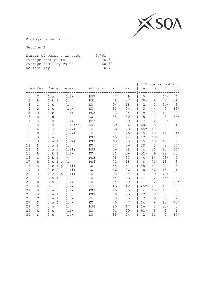

Biology Higher 2011

| Number of persons in test |              | : 9.761                |
|---------------------------|--------------|------------------------|
| Average test score        |              | : 20.64                |
| Average facility value    | $\mathbf{r}$ | 68.80                  |
| Reliability               |              | 0.76<br><b>Britain</b> |

|                |              |                                                          |          |         |     |      |                |                | % Choosing option |                |
|----------------|--------------|----------------------------------------------------------|----------|---------|-----|------|----------------|----------------|-------------------|----------------|
| Item Key       |              | Content Area                                             |          | Ability | Fac | Disc | Α              | $\mathbf B$    | $\mathcal{C}$     | D              |
| 1              | C            | $1\ a$                                                   | (i)      | PS7     | 47  | 9    | 45             | 4              | $47*$             | 4              |
| $\overline{c}$ | Α            | 1 b 1                                                    | (i)      | PS1     | 78  | 27   | $78*$          | 6              | 5                 | 11             |
| $\mathsf 3$    | $\mathsf C$  | $\mathbf{1}$<br>$\mathtt{C}$                             | (i)      | KU      | 94  | 18   | $\overline{c}$ | $\overline{2}$ | $94*$             | $\mathfrak{Z}$ |
| 4              | D            | $\mathbf{1}$<br>$\mathsf{C}$                             | (iv)     | KU      | 83  | 34   | 3              | 4              | 9                 | $83*$          |
| 5              | B            | $\mathbf{1}$<br>$\mathsf C$                              | (i)      | PS3     | 73  | 24   | 9              | $73*$          | 14                | 4              |
| 6              | D            | d<br>$\mathbf{1}$                                        | (i)      | ΚU      | 85  | 30   | 5              | $\mathbf{2}$   | 8                 | $85*$          |
| 7              | $\mathsf{C}$ | $\mathbf{1}$<br>d                                        | (iii)    | PS3     | 87  | 30   | 7              | $\overline{2}$ | $87*$             | 4              |
| 8              | Α            | d<br>$\mathbf{1}$                                        | (ii/iii) | ΚU      | 69  | 36   | 69*            | 23             | 7                 | $\mathbf 1$    |
| 9              | Α            | $\mathbf{1}$<br>d                                        | (iii)    | KU      | 65  | 30   | $65*$          | 17             | 5                 | 13             |
| 10             | D            | $\mathbf{1}$<br>$\mathrel{\mathop{\mathrm{e}}\nolimits}$ | (iii)    | KU      | 61  | 26   | 15             | 13             | 11                | 61*            |
| 11             | B            | $\overline{2}$<br>$\mathsf a$                            | (i)      | PS3     | 60  | 24   | 17             | 60*            | 7                 | 16             |
| 12             | B            | $\overline{2}$<br>a <sub>1</sub>                         | (iii)    | PS7     | 63  | 30   | 15             | $63*$          | 15                | 7              |
| 13             | $\mathbb D$  | $\overline{2}$<br>$\mathsf a$<br>2                       | (i)      | KU      | 57  | 26   | 29             | 5              | 9                 | $57*$          |
| 14             | D            | $\overline{2}$<br>$\mathsf{a}$<br>-3                     | (iii)    | PS3     | 36  | 28   | 4              | 50             | 10                | $36*$          |
| 15             | Α            | 2<br>b<br>$\mathbf{1}$                                   | (iii)    | KU      | 51  | 26   | $51*$          | 9              | 29                | 10             |
| 16             | $\mathsf C$  | $\mathbf{2}^{\prime}$<br>$\mathbf b$<br>$\mathbf{1}$     | (v)      | PS3     | 78  | 33   | 4              | 14             | $78*$             | $\mathsf S$    |
| 17             | B            | 2<br>$\mathsf C$<br>$\mathbf{1}$<br>p                    | (i)      | PS6     | 71  | 18   | 8              | $71*$          | 18                | 3              |
| 18             | Α            | 2<br>$\mathbf{1}$<br>$\mathtt{C}$<br>$\mathcal{D}$       | (iii)    | KU      | 55  | 31   | $55*$          | 12             | 27                | 5              |
| 19             | B            | 2<br>$\overline{2}$<br>$\mathtt{C}$                      | (iii)    | KU      | 66  | 26   | 8              | 66*            | 15                | 11             |
| 20             | $\mathsf{C}$ | 2 p<br>$\mathbf{2}^{\prime}$<br>$\mathtt{C}$             | (iii)    | ΚU      | 78  | 34   | 4              | 9              | $78*$             | 10             |
| 21             | $\mathsf{C}$ | 3<br>$\mathsf{a}$<br>$\mathbf{1}$                        | (i)      | KU      | 54  | 33   | 14             | 22             | $54*$             | 10             |
| 22             | D            | 3<br>2<br>$\mathsf a$                                    | (iii)    | KU      | 84  | 30   | 11             | $\overline{c}$ | 3                 | $84*$          |
| 23             | Α            | 3<br>3                                                   | (iii)    | KU      | 45  | 42   | $45*$          | 17             | 10                | 29             |
| 24             | $\mathbf B$  | 3<br>a <sub>3</sub>                                      | (iii)    | PS3     | 45  | 35   | 4              | $45*$          | 47                | $\mathfrak{Z}$ |
| 25             | B            | 3<br>$\mathsf{a}$<br>4                                   | (i)      | PS7     | 70  | 35   | 22             | $70*$          | 5                 | 3              |
| 26             | C            | 3<br>$\mathsf{a}$<br>4                                   | (iv)     | ΚU      | 83  | 30   | 7              | 9              | $83*$             | $\overline{2}$ |
| 27             | $\mathbb D$  | 3<br>$\mathsf{a}$<br>$\overline{4}$                      | (iv)     | KU      | 70  | 7    | 14             | 6              | 10                | $70*$          |
| 28             | $\mathsf{C}$ | 2<br>$\epsilon$                                          | (i)      | PS4     | 80  | 17   | 16             | 2              | $80*$             | 3              |
| 29             | Α            | 3<br>$\mathsf C$                                         | (iii)    | KU      | 91  | 30   | $91*$          | 5              | 3                 | $\mathbf{1}$   |
| 30             | D            | 3<br>$\mathsf{C}$                                        | (iv)     | KU      | 85  | 24   | $\overline{c}$ | 11             | $\overline{2}$    | $85*$          |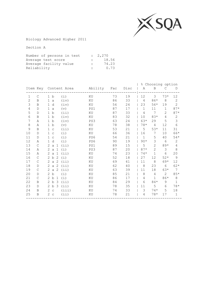

Biology Advanced Higher 2011

| Number of persons in test |              | : 2,270 |
|---------------------------|--------------|---------|
| Average test score        | $\mathbf{r}$ | 18.56   |
| Average facility value    | $\mathbf{L}$ | 74.23   |
| Reliability               | $\mathbb{R}$ | 0.73    |

|              |              |                             |                       |         |     |      | $\frac{6}{6}$  |                | Choosing option |                |
|--------------|--------------|-----------------------------|-----------------------|---------|-----|------|----------------|----------------|-----------------|----------------|
|              |              |                             | Item Key Content Area | Ability | Fac | Disc | Α              | B              | C               | D              |
| $\mathbf{1}$ | $\mathsf{C}$ | 1 b                         | (i)                   | KU      | 73  | 19   | 12             | 3              | $73*$           | 12             |
| $\mathbf{2}$ | B            | 1 a                         | (iv)                  | KU      | 86  | 33   | $\overline{4}$ | 86*            | 8               | $\mathbf{2}$   |
| 3            | B            | $\mathbf{1}$<br>d           | (iv)                  | KU      | 56  | 24   | 23             | $56*$          | 19              | $\overline{2}$ |
| 4            | D            | $\mathbf{1}$<br>a           | (v)                   | PS1     | 87  | 17   | $\mathbf{1}$   | 11             | $\mathbf{1}$    | $87*$          |
| 5            | D            | 1 <sub>b</sub>              | (iii)                 | KU      | 87  | 33   | 4              | 7              | $\overline{2}$  | $87*$          |
| 6            | B            | b<br>$\mathbf{1}$           | (iv)                  | KU      | 83  | 32   | 10             | $83*$          | $\overline{4}$  | $\mathbf{2}$   |
| 7            | Α            | 1 b                         | (iv)                  | PS3     | 63  | 24   | $63*$          | 29             | 5               | 3              |
| 8            | Α            | b<br>1                      | (v)                   | KU      | 78  | 38   | $78*$          | $\overline{4}$ | 12              | 6              |
| 9            | B            | $\mathbf 1$<br>$\mathtt{C}$ | (i)                   | ΚU      | 53  | 21   | 5              | $53*$          | 11              | 31             |
| 10           | D            | $\mathbf{1}$<br>$\mathbf C$ | (i)                   | KU      | 66  | 36   | 16             | 7              | 10              | 66*            |
| 11           | D            | $\mathbf 1$<br>$\mathsf C$  | (i)                   | PS6     | 54  | 21   | $\mathbf{1}$   | 5              | 40              | $54*$          |
| 12           | Α            | d<br>$\mathbf{1}$           | (i)                   | PS6     | 90  | 19   | $90*$          | 3              | 6               | 2              |
| 13           | $\mathsf{C}$ | 2<br>$\mathsf{a}$<br>-1     | (iii)                 | PS1     | 89  | 15   | 5              | $\overline{2}$ | $89*$           | 4              |
| 14           | Α            | 2<br>$\mathbf 1$<br>a       | (i)                   | PS3     | 87  | 20   | $87*$          | 2              | 3               | 8              |
| 15           | Α            | 2<br>$\mathsf{a}$<br>1      | (i)                   | ΚU      | 74  | 23   | $74*$          | $\mathbf{1}$   | 6               | 20             |
| 16           | $\mathsf C$  | 2<br>b<br>-2                | (i)                   | KU      | 52  | 18   | 27             | 12             | $52*$           | $\overline{9}$ |
| 17           | C            | 2<br>-2<br>$\mathsf{a}$     | (iii)                 | KU      | 69  | 41   | 11             | 8              | $69*$           | 12             |
| 18           | D            | 2<br>-2<br>a                | (iii)                 | ΚU      | 62  | 40   | 8              | 23             | 6               | $62*$          |
| 19           | $\mathsf{C}$ | 2<br>-2<br>a                | (iii)                 | ΚU      | 63  | 39   | 11             | 18             | $63*$           | 7              |
| 20           | $\mathbb D$  | 2<br>b                      | (i)                   | ΚU      | 85  | 21   | 8              | 4              | $\overline{2}$  | $85*$          |
| 21           | C            | 2<br>b<br>1                 | (i)                   | KU      | 86  | 17   | 4              | $\mathbf{1}$   | $86*$           | $\,8\,$        |
| 22           | В            | 2 b<br>3                    | (i)                   | ΚU      | 84  | 29   | 6              | $84*$          | 9               | $\mathbf{1}$   |
| 23           | D            | 2 b<br>-3                   | (i)                   | KU      | 78  | 35   | 11             | 5              | 6               | $78*$          |
| 24           | B            | 2<br>$\mathtt{C}$           | (iii)                 | ΚU      | 74  | 33   | 3              | $74*$          | 5               | 18             |
| $25$         | B            | 2<br>$\mathtt{C}$           | (iii)                 | ΚU      | 78  | 21   | 4              | $78*$          | 17              | $\mathbf 1$    |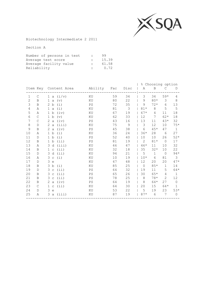

Biotechnology Intermediate 2 2011

| 15.39 |
|-------|
| 61.58 |
| 0.72  |
|       |

|              |              |                           |                               |    |     |               |                 | % Choosing option |              |                 |
|--------------|--------------|---------------------------|-------------------------------|----|-----|---------------|-----------------|-------------------|--------------|-----------------|
|              |              |                           | Item Key Content Area Ability |    | Fac | Disc          | Α               | $\, {\bf B}$      | C            | D               |
| $\mathbf 1$  | C            |                           | 1 a $(i/v)$                   | ΚU | 59  | 34            | 3               | 34                | $59*$        | 4               |
| $\mathbf{2}$ | B            | $\mathbf{1}$<br>a         | (v)                           | KU | 80  | 22            | 9               | $80*$             | 3            | $\,8\,$         |
| 3            | B            | $\mathbf{2}^{\circ}$<br>b | (i)                           | PS | 72  | 35            | 9               | $72*$             | 6            | 13              |
| 4            | Α            | $\mathbf 1$<br>a          | (i)                           | ΚU | 81  | $\mathcal{E}$ | $81*$           | 8                 | 5            | 5               |
| 5            | Α            | $\mathbf{1}$<br>b         | (iv)                          | KU | 67  | 19            | $67*$           | 4                 | 11           | 18              |
| $\sqrt{6}$   | $\mathsf{C}$ | b<br>$\mathbf{1}$         | (v)                           | ΚU | 62  | 33            | 12 <sup>2</sup> | $7^{\circ}$       | $62*$        | 18              |
| 7            | С            | 2<br>$\mathsf{a}$         | (iv)                          | PS | 43  | 16            | 13              | 11                | $43*$        | 32              |
| $\,8\,$      | D            | 2<br>a                    | (iii)                         | KU | 75  | 9             | 3               | 12 <sup>°</sup>   | 10           | $75*$           |
| $\mathsf 9$  | В            | 2<br>$\mathsf{a}$         | (iv)                          | PS | 45  | 38            | 6               | $45*$             | 47           | $\mathbf{1}$    |
| 10           | Α            | $\mathbf 1$<br>b          | (i)                           | ΚU | 36  | 24            | $36*$           | 28                | 6            | 27              |
| 11           | D            | 1<br>b                    | (i)                           | PS | 52  | 40            | 10 <sup>°</sup> | 10 <sub>o</sub>   | 26           | $52*$           |
| 12           | B            | $\mathbf{1}$<br>b         | (iii)                         | PS | 81  | 19            | 2               | $81*$             | $\Omega$     | 17              |
| 13           | Α            | 3                         | d (iii)                       | ΚU | 46  | 47            | $46*$           | 11                | 10           | 32              |
| 14           | B            | $\mathbf{1}$              | $c$ $(iii)$                   | KU | 32  | 18            | 35              | $32*$             | 10           | 22              |
| 15           | D            | 3                         | d(i)                          | ΚU | 94  | 21            | 5               | $\mathbf{1}$      | $\Omega$     | $94*$           |
| 16           | Α            | 3                         | C(i)                          | KU | 10  | 19            | $10*$           | 6                 | 81           | 3               |
| 17           | D            | 3<br>e                    |                               | KU | 47  | 48            | 12 <sup>2</sup> | 20                | 20           | $47*$           |
| 18           | B            | 3<br>b                    | (i)                           | ΚU | 85  | 25            | $\Omega$        | $85*$             | $\mathbf{1}$ | 14              |
| 19           | D            | 3                         | $c$ (ii)                      | PS | 64  | 32            | 19              | 11                | 5            | $64*$           |
| 20           | B            | 3<br>$\mathsf{C}$         | (iii)                         | PS | 65  | 26            | 30              | $65*$             | 4            | $\mathbf{1}$    |
| 21           | B            | 3<br>$\mathsf{C}$         | (ii)                          | PS | 78  | 25            | 8               | $78*$             | 2            | 12 <sup>2</sup> |
| 22           | B            | 2<br>a                    | (iv)                          | PS | 64  | 19            | 8               | 64*               | 27           | $\circ$         |
| 23           | C            | 1<br>$\mathsf{C}$         | (i)                           | ΚU | 64  | 30            | 20              | 15 <sub>1</sub>   | $64*$        | 1               |
| 24           | D            | 3<br>$\epsilon$           |                               | KU | 53  | 22            | 5               | 19                | 23           | $53*$           |
| 25           | Α            |                           | 3a (iii)                      | KU | 87  | 19            | $87*$           | 6                 | 7            | $\circ$         |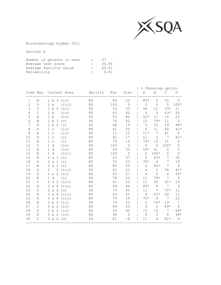

Biotechnology Higher 2011

| Number of persons in test | $\mathbb{R}$ | 27    |
|---------------------------|--------------|-------|
| Average test score        |              | 20.85 |
| Average facility value    |              | 69.51 |
| Reliability               |              | 0.81  |

|                |               |                                                       |                            |     |                |             | % Choosing option |          |                |
|----------------|---------------|-------------------------------------------------------|----------------------------|-----|----------------|-------------|-------------------|----------|----------------|
|                |               | Item Key Content Area                                 | Ability                    | Fac | Disc           | Α           | $\, {\bf B}$      | C        | D              |
| 1              | Α             | 1 b 3 (iv)                                            | KU                         | 85  | 22             | $85*$       | $\circ$           | 15       | $\Omega$       |
| $\overline{c}$ | $\mathbb D$   | (iii)<br>$\mathsf a$<br>$\mathbf{1}$                  | KU                         | 100 | $\circledcirc$ | $\mathbb O$ | $\mathbf 0$       | $\circ$  | $100*$         |
| 3              | $\mathsf{C}$  | 1 b<br>-2<br>(iii)                                    | PS                         | 33  | 33             | 44          | 11                | $33*$    | 11             |
| 4              | $\mathsf{C}$  | 1 b<br>(iv)                                           | KU                         | 63  | 62             | 4           | $\circ$           | $63*$    | 30             |
| 5              | Α             | b<br>(iv)<br>$\mathbf{1}$                             | PS                         | 52  | 80             | $52*$       | 11                | 15       | 22             |
| 6              | B             | 1 b<br>3<br>(v)                                       | $\mathop{\rm PS}\nolimits$ | 74  | 62             | 15          | $74*$             | 11       | $\Omega$       |
| 7              | $\mathbb D$   | 1 b<br>(i)<br>2                                       | PS                         | 48  | 19             | $\circ$     | 33                | 19       | $48*$          |
| 8              | D             | (iii)<br>$\mathbf{1}$<br>$\mathsf{C}$                 | KU                         | 41  | 30             | $\mathbf 0$ | 11                | 44       | $41*$          |
| 9              | Α             | (iii)<br>$\mathbf{1}$<br>$\mathsf C$                  | PS                         | 11  | 12             | $11*$       | 7                 | 81       | $\circ$        |
| 10             | $\mathbb D$   | (i)<br>$\mathbf 1$<br>$\mathop{\rm \bf C}\nolimits$   | KU                         | 81  | 17             | 11          | $\Omega$          | 7        | $81*$          |
| 11             | Α             | (i)<br>$\mathbf{1}$<br>$\mathsf C$                    | KU                         | 74  | $-4$           | $74*$       | 15                | 11       | $\circ$        |
| 12             | $\mathsf{C}$  | d<br>$\mathbf{1}$<br>(iv)                             | PS                         | 100 | $\circ$        | $\circ$     | $\circ$           | $100*$   | $\Omega$       |
| 13             | Α             | $\mathbf{1}$<br>d<br>(iv)                             | KU                         | 59  | 53             | $59*$       | 41                | $\Omega$ | $\Omega$       |
| 14             | B             | $\mathbf{1}$<br>d<br>(iii)                            | KU                         | 100 | $\mathbf 0$    | $\Omega$    | $100*$            | $\Omega$ | $\Omega$       |
| 15             | $\mathbf B$   | 2<br>(i)<br>a 1                                       | KU                         | 63  | 37             | $\Omega$    | $63*$             | 7        | 30             |
| 16             | Α             | 2a<br>$\mathbf{1}$<br>(i)                             | KU                         | 70  | 25             | $70*$       | $\overline{4}$    | 7        | 19             |
| 17             | B             | $\mathbf{2}^{\prime}$<br>a $2$<br>(i)                 | ΚU                         | 85  | 20             | 4           | $85*$             | 7        | $\overline{4}$ |
| 18             | $\mathbb D$   | $\mathbf{2}$<br>$\overline{2}$<br>(iii)               | PS                         | 41  | 31             | 4           | $\circ$           | 56       | $41*$          |
| 19             | $\mathbb D$   | 2a2<br>(iii)                                          | KU                         | 93  | 27             | 4           | $\Omega$          | 4        | $93*$          |
| 20             | B             | d<br>(i)<br>$\mathbf 1$                               | PS                         | 78  | 50             | 11          | $78*$             | 7        | 4              |
| 21             | $\mathsf{C}$  | 2a2<br>(iii)                                          | KU                         | 41  | 20             | 11          | 30                | $41*$    | 19             |
| 22             | Α             | (iii)<br>3<br>a <sub>4</sub>                          | KU                         | 89  | 46             | $89*$       | 4                 | 7        | $\circ$        |
| 23             | $\mathsf{C}$  | $\mathbf{2}$<br>$\overline{2}$<br>$\mathsf{a}$<br>(v) | PS                         | 70  | 60             | 11          | 7                 | $70*$    | 11             |
| 24             | B             | 3<br>$\mathsf{a}$<br>6<br>(iii)                       | KU                         | 63  | 25             | $\Omega$    | 63*               | 26       | 11             |
| 25             | Α             | 3<br>$\mathsf{a}$<br>- 6<br>(iii)                     | KU                         | 70  | 54             | $70*$       | $\circ$           | 7        | 22             |
| 26             | B             | $\mathbf b$<br>(i)<br>3<br>2                          | PS                         | 74  | 23             | $\circ$     | $74*$             | 19       | 7              |
| 27             | C             | 3 <sub>b</sub><br>2<br>(iii)                          | KU                         | 89  | 53             | 4           | $\circ$           | $89*$    | 4              |
| 28             | $\mathbb D$   | (iii)<br>3 b<br>-2                                    | KU                         | 59  | 45             | 15          | 19                | 7        | $59*$          |
| 29             | $\mathbb D$   | 3 b<br>-2<br>(iv)                                     | KU                         | 96  | 4              | $\circ$     | $\circ$           | 4        | $96*$          |
| 30             | $\mathcal{C}$ | 3 b 2<br>(v)                                          | PS                         | 81  | $-8$           | 11          | 4                 | $81*$    | $\overline{4}$ |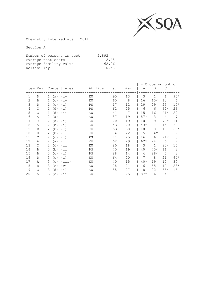

Chemistry Intermediate 1 2011

| Number of persons in test |              | : 2,892 |
|---------------------------|--------------|---------|
| Average test score        | $\mathbf{r}$ | 12.45   |
| Average facility value    | $\mathbb{R}$ | 62.26   |
| Reliability               | $\mathbb{R}$ | 0.58    |

|                |              |                     |                       |         |     |      | ⊱     | Choosing option |              |              |
|----------------|--------------|---------------------|-----------------------|---------|-----|------|-------|-----------------|--------------|--------------|
|                |              |                     | Item Key Content Area | Ability | Fac | Disc | Α     | B               | С            | D            |
| $\mathbf{1}$   | D            | (a)<br>1            | (iv)                  | ΚU      | 95  | 13   | 3     | 1               | $\mathbf{1}$ | $95*$        |
| $\overline{2}$ | B            | 1<br>(C)            | (iv)                  | ΚU      | 65  | 8    | 16    | $65*$           | 13           | 6            |
| 3              | D            | (c)<br>1            | (i)                   | PS      | 17  | 12   | 29    | 29              | 25           | $17*$        |
| $\overline{4}$ | C            | (d)<br>$\mathbf{1}$ | (i)                   | PS      | 62  | 25   | 6     | 6               | $62*$        | 26           |
| 5              | С            | (d)<br>1            | (iii)                 | ΚU      | 41  | 7    | 15    | 16              | $41*$        | 29           |
| 6              | Α            | 2<br>(a)            |                       | ΚU      | 87  | 19   | $87*$ | 3               | 4            | 7            |
| 7              | C            | 2<br>(a)            | (i)                   | ΚU      | 70  | 19   | 10    | 9               | $70*$        | 11           |
| 8              | Α            | 2<br>(b)            | (i)                   | ΚU      | 43  | 20   | $43*$ | 7               | 15           | 36           |
| $\mathsf 9$    | D            | 2<br>(b)            | (i)                   | ΚU      | 63  | 30   | 10    | 8               | 18           | $63*$        |
| 10             | B            | 2<br>(b)            | (iii)                 | ΚU      | 84  | 22   | 5     | $84*$           | 8            | $\mathbf{2}$ |
| 11             | C            | 2<br>(d)            | (i)                   | PS      | 71  | 25   | 16    | 6               | $71*$        | $\,8\,$      |
| 12             | Α            | 2<br>(a)            | (iii)                 | ΚU      | 62  | 29   | $62*$ | 24              | 6            | 7            |
| 13             | C            | 2<br>(d)            | (iii)                 | ΚU      | 80  | 18   | 3     | $\mathbf{1}$    | $80*$        | 15           |
| 14             | B            | 3<br>(b)            | (iii)                 | PS      | 45  | 19   | 40    | $45*$           | 11           | 3            |
| 15             | B            | 3<br>(c)            | (i)                   | PS      | 88  | 14   | 4     | 88*             | 5            | 3            |
| 16             | D            | 3<br>(C)            | (i)                   | ΚU      | 64  | 20   | 7     | 8               | 21           | $64*$        |
| 17             | Α            | 3<br>(c)            | (iii)                 | ΚU      | 40  | 15   | $40*$ | 19              | 10           | 30           |
| 18             | $\mathbb{D}$ | 3<br>(c)            | (vi)                  | ΚU      | 28  | 21   | 6     | 55              | 12           | $28*$        |
| 19             | C            | 3<br>(d)            | (i)                   | ΚU      | 55  | 27   | 8     | 22              | $55*$        | 15           |
| 20             | Α            | (d)<br>3            | (iii)                 | ΚU      | 87  | 25   | $87*$ | 6               | 4            | 3            |
|                |              |                     |                       |         |     |      |       |                 |              |              |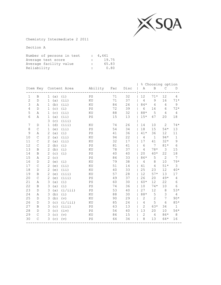

Chemistry Intermediate 2 2011

| Number of persons in test |                           | : 4,461 |
|---------------------------|---------------------------|---------|
| Average test score        |                           | 19.75   |
| Average facility value    | $\mathbb{R}$              | 65.83   |
| Reliability               | $\mathbb{R}^{\mathbb{Z}}$ | 0.80    |

|                |              |                       |                       |                            |     |      |                |                | % Choosing option |                |
|----------------|--------------|-----------------------|-----------------------|----------------------------|-----|------|----------------|----------------|-------------------|----------------|
|                |              |                       | Item Key Content Area | Ability                    | Fac | Disc | Α              | B              | $\mathcal{C}$     | D              |
| $\mathbf 1$    | B            | (a)<br>$\mathbf{1}$   | (i)                   | PS                         | 71  | 32   | 12             | $71*$          | 12                | 4              |
| $\overline{c}$ | $\mathbb D$  | (a)<br>$\mathbf{1}$   | (iii)                 | KU                         | 71  | 37   | $\overline{4}$ | $\mathsf 9$    | 16                | $71*$          |
| 3              | Α            | (b)<br>1              | (iii)                 | KU                         | 84  | 26   | $84*$          | $\overline{4}$ | 4                 | 9              |
| 4              | $\mathbb D$  | (c)<br>$\mathbf{1}$   | (i)                   | $\mathbb{P}\mathbb{S}$     | 72  | 39   | 6              | 16             | 6                 | $72*$          |
| 5              | Α            | (c)<br>1              | (iii)                 | KU                         | 88  | 32   | 88*            | 5              | 4                 | 4              |
| $\sqrt{6}$     | Α            | (a)<br>1              | (iii)                 | $\mathop{\rm PS}\nolimits$ | 15  | 13   | $15*$          | 47             | 20                | 18             |
|                |              | 3<br>(c)              | (iii)                 |                            |     |      |                |                |                   |                |
| 7              | D            | $\mathbf{1}$<br>(d)   | (iii)                 | KU                         | 74  | 26   | 14             | 10             | 2                 | $74*$          |
| 8              | C            | $\mathbf{1}$<br>(e)   | (i)                   | PS                         | 54  | 34   | 18             | 15             | $54*$             | 13             |
| 9              | Α            | 2<br>(a)              | (i)                   | $\mathop{\rm PS}\nolimits$ | 41  | 36   | $41*$          | 36             | 12                | 11             |
| 10             | $\mathsf C$  | $\overline{2}$<br>(a) | (iii)                 | ΚU                         | 94  | 22   | $\sqrt{4}$     | $\mathbf{1}$   | $94*$             | $\mathbf 1$    |
| 11             | $\mathsf C$  | $\mathbf{2}$<br>(a)   | (iii)                 | KU                         | 32  | 17   | 17             | 41             | $32*$             | $\mathsf 9$    |
| 12             | $\mathsf C$  | $\mathbf{2}$<br>(b)   | (i)                   | PS                         | 81  | 41   | 6              | 7              | $81*$             | $\sqrt{6}$     |
| 13             | B            | 2<br>(b)              | (i)                   | KU                         | 78  | 37   | 4              | $78*$          | 3                 | 15             |
| 14             | B            | 2<br>(c)              | (i)                   | PS                         | 40  | 40   | 20             | $40*$          | 22                | $18\,$         |
| 15             | Α            | 2<br>(c)              |                       | $\mathop{\rm PS}\nolimits$ | 86  | 33   | 86*            | 5              | 2                 | 7              |
| 16             | $\mathbb D$  | 2<br>(e)              | (i)                   | KU                         | 79  | 38   | 4              | 8              | 10                | $79*$          |
| 17             | $\mathsf C$  | $\mathbf{2}$<br>(e)   | (iii)                 | KU                         | 51  | 14   | 41             | $\overline{4}$ | $51*$             | 3              |
| 18             | $\mathbb D$  | 2<br>(e)              | (iii)                 | KU                         | 40  | 33   | 25             | 23             | 12                | $40*$          |
| 19             | $\, {\bf B}$ | 2<br>(e)              | (iii)                 | KU                         | 57  | 28   | 12             | $57*$          | 13                | $17$           |
| 20             | $\mathsf C$  | 2<br>(e)              | (iii)                 | PS                         | 49  | 37   | 26             | 20             | 49*               | 4              |
| 21             | Α            | 3<br>(a)              | (i)                   | PS                         | 60  | 30   | 60*            | 12             | 22                | 6              |
| 22             | $\, {\bf B}$ | 3<br>(a)              | (i)                   | $\mathop{\rm PS}\nolimits$ | 74  | 36   | 10             | $74*$          | 10                | 6              |
| 23             | $\mathbb D$  | 3<br>(a)              | (i/iii)               | $\mathop{\mathrm{PS}}$     | 53  | 40   | 27             | 12             | $\,8\,$           | $53*$          |
| 24             | Α            | 3<br>(b)              | (i)                   | KU                         | 88  | 30   | $88*$          | $\mathsf S$    | 3                 | $\overline{4}$ |
| 25             | $\mathbb D$  | 3<br>(b)              | (v)                   | KU                         | 90  | 29   | $\overline{2}$ | $\mathbf{2}$   | 7                 | $90*$          |
| 26             | $\mathbb D$  | 3<br>(c)              | (i/iii)               | KU                         | 85  | 24   | 4              | 5              | 6                 | $85*$          |
| 27             | $\, {\bf B}$ | 3<br>(c)              | (iii)                 | PS                         | 63  | 13   | $\overline{2}$ | $63*$          | 34                | $\mathbf{1}$   |
| 28             | $\mathbb D$  | 3<br>(c)              | (iv)                  | $\mathop{\rm PS}\nolimits$ | 56  | 40   | 13             | 20             | 10                | $56*$          |
| 29             | $\mathsf C$  | 3<br>(c)              | (v)                   | KU                         | 86  | 15   | $\overline{c}$ | 4              | 86*               | $\,8\,$        |
| 30             | $\mathsf C$  | 3<br>(c)              | (v)                   | $\mathop{\mathrm{PS}}$     | 64  | 34   | 8              | 13             | $64*$             | 16             |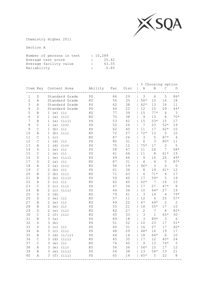

Chemistry Higher 2011

| Number of persons in test |              | : 10,289 |
|---------------------------|--------------|----------|
| Average test score        |              | 25.42    |
| Average facility value    | $\mathbb{R}$ | 63.55    |
| Reliability               | $\mathbb{R}$ | 0.85     |

|                |               |                                |                            |     |        |                  |                | % Choosing option |             |
|----------------|---------------|--------------------------------|----------------------------|-----|--------|------------------|----------------|-------------------|-------------|
|                | Item Key      | Content Area                   | Ability                    | Fac | Disc   | Α                | $\, {\bf B}$   | С                 | $\mathbb D$ |
| 1              | D             | Standard Grade                 | PS                         | 86  | 29     | 3                | $\sqrt{6}$     | 5                 | 86*         |
| $\overline{2}$ | Α             | Standard Grade                 | KU                         | 56  | 35     | $56*$            | 10             | 16                | $18\,$      |
| 3              | Α             | Standard Grade                 | $\mathop{\mathrm{PS}}$     | 62  | 38     | $62*$            | 13             | 14                | 11          |
| $\overline{4}$ | $\mathbb D$   | Standard Grade                 | $\mathop{\mathrm{PS}}$     | 44  | 22     | 12               | 15             | 29                | $4\,4\,*$   |
| 5              | B             | (i)<br>1<br>(e)                | KU                         | 77  | 39     | 15               | $77*$          | 4                 | 3           |
| $6\,$          | D             | $\mathbf 1$<br>(a)<br>(iii)    | KU                         | 70  | 38     | 9                | 13             | 8                 | $70*$       |
| 7              | $\, {\bf B}$  | (iii)<br>$\mathbf 1$<br>(a)    | $\mathop{\mathrm{PS}}$     | 53  | 42     | 15               | $53*$          | 15                | 17          |
| $\,8\,$        | $\mathsf{C}$  | $\mathbf 1$<br>(a)<br>(iv)     | $\mathop{\mathrm{PS}}$     | 52  | 24     | 7                | 23             | $52*$             | 19          |
| 9              | $\mathsf{C}$  | $\mathbf 1$<br>(i)<br>(b)      | $\mathbb{P}\mathbb{S}$     | 62  | 40     | 11               | 17             | $62*$             | 10          |
| 10             | Α             | $\mathbf{1}$<br>(b)<br>(iii)   | KU                         | 72  | 27     | $72*$            | 13             | 5                 | 10          |
| 11             | $\mathcal{C}$ | $\mathbf 1$<br>(c)             | KU                         | 87  | 26     | 3                | 5              | $87*$             | 4           |
| 12             | $\mathsf C$   | $\mathbf{1}$<br>(d)<br>(i)     | $\mathop{\rm PS}\nolimits$ | 80  | 31     | $\epsilon$       | 3              | 80*               | 11          |
| 13             | Α             | $\mathbf 1$<br>(d)<br>(iv)     | PS                         | 75  | 12     | $75*$            | 17             | $\mathbf{2}$      | 5           |
| 14             | $\mathbb D$   | $\mathbf 1$<br>(e)<br>(i)      | $\mathop{\rm PS}\nolimits$ | 58  | 47     | 11               | 24             | 7                 | $58*$       |
| 15             | $\mathsf C$   | $\mathbf 1$<br>(i)<br>(e)      | $\mathop{\rm PS}\nolimits$ | 61  | $4\,4$ | 11               | $\,8\,$        | $61*$             | 19          |
| 16             | $\mathbb D$   | $\mathbf 1$<br>(iii)<br>(e)    | $\mathop{\rm PS}\nolimits$ | 49  | 46     | 9                | 16             | 26                | $49*$       |
| $17$           | $\mathbb D$   | 2<br>(a)<br>(i)                | KU                         | 87  | 31     | 4                | 4              | 5                 | $87*$       |
| 18             | Α             | 2<br>(a)<br>(iii)              | $\rm KU$                   | 96  | 19     | $96*$            | $\mathcal{S}$  | 0                 | $\mathsf O$ |
| 19             | $\mathsf C$   | $\overline{c}$<br>(b)<br>(i)   | $\mathop{\rm PS}\nolimits$ | 61  | 36     | 8                | 19             | $61*$             | 12          |
| 20             | B             | $\mathbf 2$<br>(b)<br>(iii)    | KU                         | 71  | 43     | 6                | $71*$          | $\epsilon$        | 17          |
| 21             | B             | 2<br>(iii)<br>(b)              | $\mathop{\mathrm{PS}}$     | 59  | 40     | 17               | $59*$          | 5                 | 19          |
| 22             | Α             | 2<br>(c)<br>(i)                | ΚU                         | 62  | 40     | $62*$            | $\overline{7}$ | 16                | 15          |
| 23             | $\mathcal{C}$ | $\mathbf 2$<br>(c)<br>(i)      | $\mathop{\mathrm{PS}}$     | 47  | 34     | 17               | 27             | $47*$             | 8           |
| 24             | B             | $\overline{c}$<br>(c)<br>(iii) | $\mathop{\mathrm{PS}}$     | 44  | 36     | 10               | $44*$          | 27                | 19          |
| 25             | $\mathbb D$   | $\overline{c}$<br>(d)          | KU                         | 79  | 41     | 3                | 14             | 4                 | $79*$       |
| 26             | $\mathbb D$   | $\overline{c}$<br>(e)<br>(i)   | KU                         | 57  | 11     | 12               | $\epsilon$     | 25                | $57*$       |
| 27             | B             | $\overline{c}$<br>(i)<br>(e)   | KU                         | 49  | 22     | 47               | $49*$          | $\overline{c}$    | $\mathbf 2$ |
| 28             | $\, {\bf B}$  | $\overline{c}$<br>(e)<br>(i)   | $\mathop{\mathrm{PS}}$     | 55  | 21     | 18               | $55*$          | 17                | 10          |
| 29             | $\mathbb D$   | $\overline{c}$<br>(e)<br>(iii) | KU                         | 82  | 27     | $\overline{c}$   | $\overline{7}$ | 8                 | $82*$       |
| 30             | $\mathcal{C}$ | $\mathbf 2$<br>(f)<br>(iii)    | KU                         | 65  | 33     | 3                | $\mathbf{1}$   | $65*$             | 30          |
| 31             | B             | 3<br>(a)                       | $\mathop{\rm PS}\nolimits$ | 89  | 18     | 3                | $89*$          | $\mathcal{S}$     | $\epsilon$  |
| 32             | $\mathbb D$   | 3<br>(b)                       | $\mathop{\rm PS}\nolimits$ | 51  | 52     | 10               | 23             | 17                | $51*$       |
| 33             | $\mathbb D$   | 3<br>(c)<br>(i)                | $\mathop{\rm PS}\nolimits$ | 40  | 31     | 16               | 27             | 17                | $40*$       |
| 34             | Α             | 3<br>(c)<br>(iii)              | $\mathop{\mathrm{PS}}$     | 48  | 29     | $4\,8\,^{\star}$ | 16             | 19                | 17          |
| 35             | B             | 3<br>(d)<br>(i/ii)             | $\mathop{\mathrm{PS}}$     | 64  | 14     | 18               | $64*$          | 8                 | $10$        |
| 36             | $\mathsf C$   | 3<br>(d)<br>(iii)              | KU                         | 45  | 35     | 17               | 12             | $45*$             | 24          |
| 37             | $\mathcal{C}$ | $\mathfrak{Z}$<br>(e)<br>(i)   | KU                         | 74  | 40     | 9                | 13             | $74*$             | 5           |
| 38             | Α             | 3<br>(e)<br>(iii)              | KU                         | 56  | 36     | $56*$            | 15             | 17                | 12          |
| 39             | B             | 3<br>(iii)<br>(e)              | $\mathop{\rm PS}\nolimits$ | 54  | 38     | 13               | $54*$          | 13                | 21          |
| 40             | Α             | 3<br>(f)<br>(iii)              | $\mathbb{P}\mathbb{S}$     | 65  | 14     | $65*$            | 5              | 22                | $\,8\,$     |
|                |               |                                |                            |     |        |                  |                |                   |             |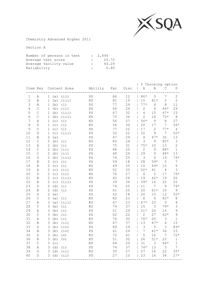

Chemistry Advanced Higher 2011

| Number of persons in test |              | : 2,444 |
|---------------------------|--------------|---------|
| Average test score        |              | 25.72   |
| Average facility value    | $\mathbb{R}$ | 64.29   |
| Reliability               | $\mathbf{r}$ | 0.80    |

|                  |               |                |      |                       |                            |     |      |                |                | % Choosing option |                  |
|------------------|---------------|----------------|------|-----------------------|----------------------------|-----|------|----------------|----------------|-------------------|------------------|
|                  |               |                |      | Item Key Content Area | Ability                    | Fac | Disc | Α              | B              | С                 | $\mathbb D$      |
| $1\,$            | Α             |                | 1(a) | (i)                   | $\mathop{\rm PS}\nolimits$ | 86  | 12   | 86*            | 5              | $\boldsymbol{7}$  | $\overline{c}$   |
| $\overline{c}$   | B             | $1\,$          | (a)  | (iii)                 | KU                         | 81  | 19   | 15             | $81*$          | $\mathbf{2}$      | $\overline{2}$   |
| 3                | Α             | 1              | (b)  | (i)                   | $\mathbb{P}\mathbb{S}$     | 77  | 29   | $77*$          | $\overline{4}$ | $\,8\,$           | 11               |
| 4                | $\mathsf{C}$  | 1              | (b)  | (iii)                 | $\mathbb{P}\mathbb{S}$     | 66  | 26   | $\overline{c}$ | 4              | 66*               | 29               |
| 5                | $\mathsf{C}$  | $\mathbf{1}$   | (b)  | (iii)                 | $\mathop{\mathrm{PS}}$     | 67  | 32   | $\overline{4}$ | 15             | $67*$             | 15               |
| $6\,$            | $\mathcal{C}$ | $\mathbf{1}$   | (b)  | (iii)                 | KU                         | 75  | 36   | $\overline{2}$ | 14             | $75*$             | $\,8\,$          |
| $\boldsymbol{7}$ | $\, {\tt A}$  | 1              | (c)  | (i)                   | KU                         | 56  | 27   | $56*$          | $\mathsf 9$    | 8                 | 27               |
| $\,8\,$          | D             | $\mathbf 1$    | (c)  | (i)                   | KU                         | 56  | 30   | 20             | 17             | $\overline{7}$    | $56*$            |
| 9                | $\mathcal{C}$ | 1              | (c)  | (i)                   | $\mathop{\rm PS}\nolimits$ | 77  | 22   | 17             | $\mathbf{2}$   | $77*$             | $\overline{4}$   |
| $10$             | $\mathbb D$   | 1              | (c)  | (iii)                 | $\mathop{\rm PS}\nolimits$ | 52  | 22   | 32             | 9              | 7                 | $52*$            |
| $11\,$           | B             | 2              | (a)  |                       | $\mathop{\rm PS}\nolimits$ | 47  | 29   | 4              | $47*$          | 35                | 13               |
| 12               | $\mathsf C$   | $\mathbf{2}$   | (b)  | (i)                   | KU                         | 85  | 26   | 3              | 9              | $85*$             | $\mathsf 3$      |
| 13               | Α             | $\mathbf{2}$   | (b)  | (i)                   | $\mathop{\rm PS}\nolimits$ | 75  | 31   | $75*$          | 10             | 13                | $\overline{c}$   |
| 14               | $\mathsf{C}$  | $\mathbf{2}$   | (b)  | (iii)                 | $\mathop{\rm PS}\nolimits$ | 88  | 25   | $\overline{2}$ | 9              | $88*$             | $\mathbf{1}$     |
| 15               | $\mathsf{C}$  | $\overline{c}$ | (b)  | (iii)                 | $\mathop{\mathrm{PS}}$     | 48  | 24   | 29             | 9              | $48*$             | 13               |
| 16               | D             | $\overline{c}$ | (b)  | (iii)                 | PS                         | 74  | 25   | 3              | 4              | 19                | $74*$            |
| $17$             | B             | $\overline{c}$ | (c)  | (i)                   | $\mathop{\rm PS}\nolimits$ | 59  | 18   | 28             | $59*$          | 5                 | $\boldsymbol{7}$ |
| $18\,$           | B             | $\overline{c}$ | (c)  | (i)                   | KU                         | 69  | 35   | 10             | $69*$          | 15                | $\sqrt{6}$       |
| 19               | $\, {\tt A}$  | $\overline{c}$ | (c)  | (iii)                 | KU                         | 52  | 35   | $52*$          | 41             | $\sqrt{4}$        | 3                |
| 20               | $\mathbb D$   | $\mathbf{2}$   | (c)  | (i)                   | KU                         | 76  | 27   | $\overline{4}$ | $\mathbf{2}$   | 17                | $76*$            |
| 21               | B             | $\overline{c}$ | (c)  | (iii)                 | KU                         | 42  | 26   | 19             | $42*$          | 19                | 20               |
| 22               | Α             | $\mathbf{2}$   | (c)  | (iii)                 | $\mathop{\rm PS}\nolimits$ | 39  | 34   | $39*$          | 16             | 22                | 22               |
| 23               | $\mathbb D$   | $\mathbf{2}$   | (d)  | (i)                   | $\mathop{\rm PS}\nolimits$ | 74  | 25   | 11             | 7              | $\mathcal{G}$     | $74*$            |
| 24               | B             | 2              | (d)  | (i)                   | $\mathbb{P}\mathbb{S}$     | 61  | 25   | 20             | $61*$          | 10                | $\mathsf 9$      |
| 25               | D             | 2              | (e)  |                       | $\mathbb{P}\mathbb{S}$     | 52  | 18   | 20             | 15             | 12                | $52*$            |
| 26               | $\mathsf{C}$  | 3              | (a)  | (i)                   | ΚU                         | 82  | 23   | 6              | 4              | $82*$             | $\,8\,$          |
| 27               | Α             | 3              | (a)  | (iii)                 | KU                         | 67  | 23   | $67*$          | 23             | $\mathsf S$       | $\overline{4}$   |
| 28               | $\mathsf{C}$  | 3              | (b)  | (i)                   | ΚU                         | 79  | 37   | 15             | $\mathfrak{Z}$ | $79*$             | 3                |
| 29               | $\, {\tt A}$  | 3              | (b)  | (i)                   | PS                         | 51  | 29   | $51*$          | 24             | 15                | 9                |
| 30               | $\mathcal{C}$ | 3              | (b)  | (i)                   | $\mathop{\mathrm{PS}}$     | 62  | 22   | $\overline{2}$ | 27             | $62*$             | 9                |
| 31               | $\, {\tt A}$  | $\mathsf 3$    | (b)  | (i)                   | KU                         | 76  | 30   | $76*$          | 20             | $\mathsf 3$       | $\mathbf{1}$     |
| 32               | $\, {\bf B}$  | 3              | (b)  | (iii)                 | KU                         | 67  | 37   | 13             | $67*$          | $\sqrt{4}$        | 15               |
| 33               | D             | 3              | (b)  | (iv)                  | $\mathop{\rm PS}\nolimits$ | 89  | 29   | 3              | 5              | 3                 | $89*$            |
| 34               | $\, {\bf B}$  | 3              | (b)  | (iv)                  | $\mathop{\rm PS}\nolimits$ | 41  | 29   | 7              | $41*$          | 36                | 15               |
| 35               | D             | 3              | (b)  | (v)                   | KU                         | 72  | 41   | 5              | 16             | 7                 | $72*$            |
| 36               | B             | $\mathsf 3$    | (b)  | (v)                   | KU                         | 51  | 32   | 26             | $51*$          | 22                | $1\,$            |
| 37               | C             | $\mathsf 3$    | (C)  |                       | KU                         | 64  | 20   | 31             | $\mathfrak{Z}$ | 64*               | $\mathbf 1$      |
| 38               | Α             | 3              | (d)  | (i)                   | $\mathbb{P}\mathbb{S}$     | 74  | 37   | $74*$          | 13             | 5                 | 7                |
| 39               | $\mathbb D$   | 3              | (d)  | (iii)                 | KU                         | 35  | 27   | 27             | 16             | 22                | $35*$            |
| 40               | D             | 3              | (d)  | (iii)                 | PS                         | 27  | 10   | 23             | 16             | 34                | $27*$            |
|                  |               |                |      |                       |                            |     |      |                |                |                   |                  |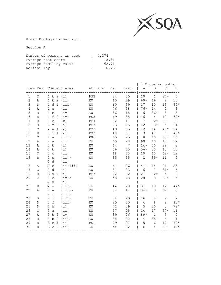

Human Biology Higher 2011

| Number of persons in test |              | : 4,274 |
|---------------------------|--------------|---------|
| Average test score        |              | 18.81   |
| Average facility value    | $\mathbb{R}$ | 62.71   |
| Reliability               | $\sim$       | 0.76    |

|                |              |                                                                     |          |     |        |                | % Choosing option |                 |                |
|----------------|--------------|---------------------------------------------------------------------|----------|-----|--------|----------------|-------------------|-----------------|----------------|
|                |              | Item Key Content Area                                               | Ability  | Fac | Disc   | Α              | B                 | $\mathcal{C}$   | D              |
| $\mathbf 1$    | $\mathsf C$  | 1 b 2<br>(i)                                                        | PS3      | 84  | 30     | 10             | $\mathbf{1}$      | $84*$           | 5              |
| $\overline{c}$ | Α            | $\overline{2}$<br>1 b<br>(iii)                                      | KU       | 60  | 29     | 60*            | 16                | $\mathcal{G}$   | 15             |
| 3              | $\mathbb D$  | d <sub>1</sub><br>(iii)<br>$\mathbf{1}$                             | KU       | 60  | 39     | 17             | 10                | 13              | 60*            |
| $\sqrt{4}$     | Α            | (iii)<br>$\mathbf 1$<br>$\in$                                       | KU       | 76  | 38     | $76*$          | 14                | $\overline{c}$  | $\,8\,$        |
| 5              | $\, {\bf B}$ | $\mathbf 1$<br>(iv)<br>$\mathop{\mathrm{e}}$                        | $\rm KU$ | 86  | $1\,8$ | 6              | 86*               | $\mathfrak{Z}$  | 5              |
| 6              | $\mathbb D$  | f<br>$\mathbf{1}$<br>-2<br>(iv)                                     | PS3      | 69  | 38     | 16             | $\overline{4}$    | 10              | 69*            |
| 7              | $\, {\bf B}$ | $\mathbf{1}$<br>$\mathsf{C}$<br>(v)                                 | PS4      | 32  | $11\,$ | 7              | $32*$             | 48              | 13             |
| 8              | $\, {\bf B}$ | $\mathbf{1}$<br>$\ensuremath{\mathbf{f}}$<br>2<br>(i)               | PS3      | 73  | 25     | 12             | $73*$             | 4               | 11             |
| 9              | $\mathsf C$  | $\overline{2}$<br>$\mathsf{a}$<br>$\mathbf{1}$<br>(v)               | PS3      | 49  | 35     | 12             | 14                | $49*$           | 24             |
| 10             | $\mathbb D$  | $\mathbf{1}$<br>$\hbox{\large\it f}$<br>$\mathbf{1}$<br>(vi)        | PS3      | 40  | 31     | 3              | 47                | 9               | $40*$          |
| 11             | $\mathsf C$  | $\overline{2}$<br>$\mathsf{a}$<br>(iii)                             | PS6      | 65  | 25     | 8              | $10$              | $65*$           | 16             |
| 12             | Α            | $\overline{2}$<br>a<br>(iii)                                        | KU       | 60  | 28     | 60*            | 10                | 18              | 12             |
| 13             | Α            | 2 b<br>(i)                                                          | KU       | 14  | 7      | $14*$          | 50                | 28              | 8              |
| 14             | Α            | 2 b<br>(i)                                                          | KU       | 56  | 35     | $56*$          | 23                | 10              | 10             |
| 15             | $\mathsf C$  | 2c<br>(iii)                                                         | KU       | 68  | 23     | 10             | 10                | 68*             | 12             |
| 16             | B            | $\overline{2}$<br>(iii) /<br>$\mathsf C$                            | KU       | 85  | 35     | $\overline{2}$ | $85*$             | 11              | $\mathbf{2}$   |
|                |              | 2 d<br>(iii)                                                        |          |     |        |                |                   |                 |                |
| 17             | Α            | $\overline{2}$<br>(ii/iii)<br>$\mathtt{C}$                          | KU       | 41  | 26     | $41*$          | 14                | 21              | 23             |
| 18             | $\mathsf C$  | $\overline{2}$<br>d<br>(i)                                          | KU       | 81  | 23     | 6              | 7                 | $81*$           | $\epsilon$     |
| 19             | $\, {\bf B}$ | 3<br>(i)<br>a 4                                                     | PS7      | 72  | 32     | 21             | $72*$             | 4               | 3              |
| 20             | $\mathsf C$  | $\mathbf{1}$<br>$\mathop{\rm \mathbf{C}}$<br>$(iv)$ /               | KU       | 48  | 28     | 28             | $\,8\,$           | $48*$           | 15             |
|                |              | $\overline{2}$<br>d<br>(i)                                          |          |     |        |                |                   |                 |                |
| 21             | $\mathbb D$  | $\mathbf{2}$<br>(iii)<br>$\mathrel{\mathop{\mathrm{e}}\nolimits}$   | KU       | 44  | 20     | 31             | 13                | 12              | $44*$          |
| 22             | Α            | $\overline{c}$<br>(iii)<br>$\mathrel{\mathop{\mathrm{e}}\nolimits}$ | KU       | 34  | 14     | $34*$          | $\mathfrak{Z}$    | 62              | $\mathsf O$    |
|                |              | $\overline{c}$<br>$\ensuremath{\mathbf{f}}$<br>(iii)                |          |     |        |                |                   |                 |                |
| 23             | B            | $\overline{2}$<br>$\,$ f<br>(iii)                                   | ΚU       | 74  | 29     | 16             | $74*$             | 9               | $\overline{2}$ |
| 24             | $\mathbb D$  | $\overline{2}$<br>$\,$ f<br>(iii)                                   | $\rm KU$ | 80  | 25     | $\overline{4}$ | $\,8\,$           | 8               | $80*$          |
| 25             | $\mathbb D$  | $\overline{2}$<br>(i)<br>$\epsilon$                                 | KU       | 72  | 39     | 5              | 20                | 3               | $72*$          |
| 26             | $\mathsf C$  | 3<br>(iii)<br>$\mathsf{a}$                                          | KU       | 57  | 25     | 14             | 17                | $57*$           | 11             |
| 27             | Α            | 3 <sub>b</sub><br>(iv)<br>-2                                        | KU       | 89  | 26     | $89*$          | $\mathbf{1}$      | 3               | 7              |
| 28             | $\, {\bf B}$ | (iii)<br>3 <sub>b</sub><br>$\overline{c}$                           | KU       | 88  | 22     | $\overline{4}$ | $88*$             | $6\phantom{1}6$ | $1\,$          |
| 29             | $\mathbb D$  | (iii)<br>$\mathbf{1}$<br>3<br>$\mathsf C$                           | PS1      | 79  | 27     | 5              | 6                 | 10              | $79*$          |
| 30             | $\mathbb D$  | C <sub>3</sub><br>(i)<br>3                                          | KU       | 44  | 32     | 6              | $\overline{4}$    | 46              | $44*$          |
|                |              |                                                                     |          |     |        |                |                   |                 |                |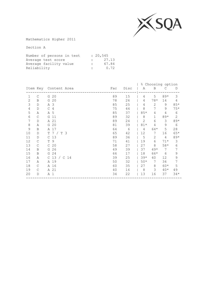

Mathematics Higher 2011

| Number of persons in test |              | : 20,545 |
|---------------------------|--------------|----------|
| Average test score        |              | 27.13    |
| Average facility value    | $\mathbf{L}$ | 67.84    |
| Reliability               | $\mathbb{R}$ | 0.72     |

|                |              |                           |     |      | % Choosing option |              |       |                |
|----------------|--------------|---------------------------|-----|------|-------------------|--------------|-------|----------------|
|                |              | Item Key Content Area     | Fac | Disc | Α                 | B            | C     | D              |
| $\mathbf 1$    | $\mathsf{C}$ | 20<br>G                   | 89  | 15   | 4                 | 5            | $89*$ | 3              |
| $\overline{c}$ | B            | G 20                      | 78  | 26   | 4                 | $78*$        | 14    | 4              |
| 3              | D            | A 3                       | 85  | 25   | 4                 | 2            | 9     | $85*$          |
| 4              | D            | $\mathsf{C}$<br>4         | 75  | 44   | 8                 | 7            | 9     | $75*$          |
| 5              | Α            | A 5                       | 85  | 37   | $85*$             | 4            | 4     | 6              |
| 6              | C            | G<br>11                   | 89  | 32   | 8                 | $\mathbf{1}$ | $89*$ | $\overline{2}$ |
| 7              | D            | A 21                      | 89  | 24   | 2                 | 6            | 3     | $89*$          |
| $\,8\,$        | Α            | G 20                      | 81  | 39   | $81*$             | 4            | 9     | 6              |
| $\mathcal{G}$  | B            | A 17                      | 64  | 6    | 4                 | 64*          | 5     | 28             |
| 10             | D            | 7 / T 3<br>T              | 65  | 42   | 12                | 7            | 16    | $65*$          |
| 11             | D            | C <sub>13</sub>           | 89  | 36   | 5                 | 2            | 4     | $89*$          |
| 12             | $\mathsf{C}$ | 9<br>T                    | 71  | 41   | 19                | 6            | $71*$ | 3              |
| 13             | C            | 20<br>$\mathsf{C}$        | 58  | 27   | 27                | 8            | $58*$ | $\epsilon$     |
| 14             | B            | 26<br>G                   | 49  | 39   | 37                | $49*$        | 7     | 7              |
| 15             | B            | 24<br>G                   | 66  | 17   | 18                | 66*          | 6     | 9              |
| 16             | Α            | C <sub>13</sub><br>/ C 14 | 39  | 25   | $39*$             | 40           | 12    | 9              |
| 17             | Α            | A 19                      | 50  | 32   | $50*$             | 7            | 34    | 7              |
| 18             | $\mathsf{C}$ | A 16                      | 60  | 35   | 27                | 8            | $60*$ | 5              |
| 19             | C            | A 21                      | 40  | 16   | 8                 | 3            | $40*$ | 49             |
| 20             | D            | A 1                       | 34  | 22   | 13                | 16           | 37    | $34*$          |
|                |              |                           |     |      |                   |              |       |                |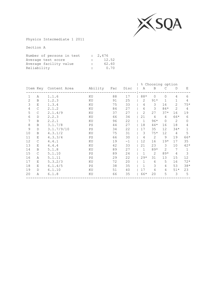

Physics Intermediate 1 2011

| Number of persons in test |              | : 2,676 |
|---------------------------|--------------|---------|
| Average test score        |              | 12.52   |
| Average facility value    | $\mathbb{R}$ | 62.60   |
| Reliability               | $\mathbb{R}$ | 0.70    |

|              |              |                       |         |     |      | ိ ေ<br>Choosing option |          |                |                |       |
|--------------|--------------|-----------------------|---------|-----|------|------------------------|----------|----------------|----------------|-------|
|              |              | Item Key Content Area | Ability | Fac | Disc | Α                      | B        | С              | D              | Ε     |
| $\mathbf{1}$ | Α            | 1.1.6                 | KU      | 88  | 17   | 88*                    | $\Omega$ | $\Omega$       | 4              | 6     |
| 2            | B            | 1.2.3                 | ΚU      | 91  | 25   | 2                      | $91*$    | $\mathbf{1}$   | 1              | 4     |
| 3            | Ε            | 1.3.4                 | ΚU      | 75  | 33   | 4                      | 3        | 16             | $\mathbf{2}$   | $75*$ |
| 4            | $\mathsf{C}$ | 2.1.2                 | ΚU      | 84  | 27   | 6                      | 3        | $84*$          | $\overline{2}$ | 4     |
| 5            | C            | 2.1.4/9               | ΚU      | 37  | 27   | 2                      | 27       | $37*$          | 16             | 19    |
| 6            | $\mathbb{D}$ | 2.2.3                 | ΚU      | 66  | 34   | 21                     | 4        | 4              | 66*            | 6     |
| 7            | B            | 2.2.1                 | ΚU      | 96  | 22   | 1                      | $96*$    | $\circ$        | 2              | 0     |
| 8            | B            | 3.1.7/8               | PS      | 44  | 27   | 18                     | $44*$    | 16             | $18\,$         | 4     |
| 9            | D            | 3.1.7/9/10            | PS      | 34  | 22   | 17                     | 35       | 12             | $34*$          |       |
| 10           | B            | 4.3.1/2               | ΚU      | 75  | 31   | 3                      | $75*$    | 12             | 4              | 5     |
| 11           | E            | 4.3.3/4               | PS      | 66  | 30   | 4                      | 2        | 9              | 19             | 66*   |
| 12           | C            | 4.4.1                 | ΚU      | 19  | $-1$ | 12                     | 16       | $19*$          | 17             | 35    |
| 13           | Ε            | 4.4.4                 | ΚU      | 42  | 33   | 21                     | 23       | 3              | 10             | $42*$ |
| 14           | B            | 5.1.8                 | ΚU      | 89  | 27   | $\mathbf{1}$           | $89*$    | $\overline{2}$ | 7              | 1     |
| 15           | C            | 5.1.10                | PS      | 89  | 24   | 1                      | 2        | $89*$          | 4              | 3     |
| 16           | Α            | 5.1.11                | PS      | 29  | 22   | $29*$                  | 31       | 13             | 15             | 12    |
| 17           | Ε            | 5.3.2/3               | ΚU      | 72  | 20   | $\mathbf{1}$           | 6        | 5              | 16             | $72*$ |
| 18           | Ε            | 6.1.4/5               | PS      | 38  | 35   | $\mathbf{1}$           | 3        | 4              | 53             | $38*$ |
| 19           | D            | 6.1.10                | ΚU      | 51  | 40   | 17                     | 4        | 4              | $51*$          | 23    |
| 20           | Α            | 6.1.8                 | ΚU      | 66  | 35   | 66*                    | 20       | 5              | 3              | 5     |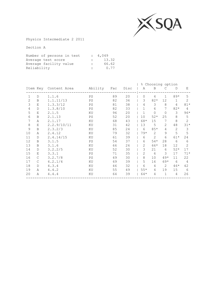

Physics Intermediate 2 2011

| Number of persons in test |              | : 4,049 |
|---------------------------|--------------|---------|
| Average test score        |              | 13.32   |
| Average facility value    | $\mathbb{R}$ | 66.62   |
| Reliability               | $\mathbb{R}$ | 0.77    |

|              |              |                       |         |     |      | 응<br>Choosing option |                |                |              |                |
|--------------|--------------|-----------------------|---------|-----|------|----------------------|----------------|----------------|--------------|----------------|
|              |              | Item Key Content Area | Ability | Fac | Disc | Α                    | B              | С              | D            | Ε              |
| $\mathbf{1}$ | D            | 1.1.6                 | PS      | 89  | 20   | 0                    | 4              | $\mathbf{1}$   | $89*$        | 5              |
| 2            | B            | 1.1.11/13             | PS      | 82  | 36   | 3                    | $82*$          | 12             | $\mathbf 1$  | $\overline{2}$ |
| 3            | E            | 1.3.3/12              | PS      | 81  | 38   | 4                    | 3              | 8              | 4            | $81*$          |
| 4            | $\mathbb{D}$ | 1.3.8/10              | PS      | 82  | 33   | $\mathbf{1}$         | 6              | 7              | $82*$        | 4              |
| 5            | E            | 2.1.5                 | ΚU      | 96  | 20   | 1                    | $\Omega$       | $\Omega$       | 3            | $96*$          |
| 6            | B            | 2.1.13                | PS      | 52  | 20   | 10                   | $52*$          | 25             | 8            | 5              |
| 7            | Α            | 2.1.17                | KU      | 68  | 43   | 68*                  | 15             | 7              | 8            | $\overline{2}$ |
| 8            | E            | 2.2.9/10/11           | ΚU      | 31  | 42   | 13                   | 5              | $\overline{2}$ | 48           | $31*$          |
| 9            | B            | 2.3.2/3               | ΚU      | 85  | 24   | 6                    | $85*$          | 4              | $\mathbf{2}$ | 3              |
| 10           | Α            | 2.4.12                | ΚU      | 79  | 32   | $79*$                | 2              | 9              | 5            | 5              |
| 11           | $\mathbb{D}$ | 2.4.14/15             | ΚU      | 61  | 39   | 6                    | $\mathfrak{D}$ | 6              | 61*          | 24             |
| 12           | B            | 3.1.5                 | PS      | 54  | 37   | 6                    | $54*$          | 28             | 6            | 6              |
| 13           | B            | 3.1.6                 | ΚU      | 66  | 26   | 2                    | 66*            | 18             | 12           | 2              |
| 14           | D            | 3.2.2/5               | ΚU      | 52  | 30   | 3                    | 21             | 6              | $52*$        | 17             |
| 15           | Ε            | 3.3.1                 | PS      | 71  | 35   | 2                    | 6              | 3              | 17           | $71*$          |
| 16           | $\mathsf{C}$ | 3.2.7/8               | PS      | 49  | 30   | 8                    | 10             | $49*$          | 11           | 22             |
| 17           | $\mathsf{C}$ | 4.2.1/4               | ΚU      | 69  | 39   | 5                    | 16             | 69*            | 6            | 4              |
| 18           | $\mathbb D$  | 4.3.4                 | ΚU      | 46  | 32   | 6                    | 4              | 2              | $46*$        | 42             |
| 19           | Α            | 4.4.2                 | ΚU      | 55  | 49   | $55*$                | 4              | 19             | 15           | 6              |
| 20           | Α            | 4.4.4                 | ΚU      | 64  | 39   | 64*                  | 4              | $\mathbf 1$    | 4            | 26             |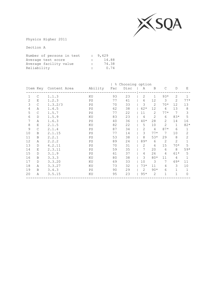

Physics Higher 2011

| Number of persons in test |              | : 9.429 |
|---------------------------|--------------|---------|
| Average test score        |              | 14.88   |
| Average facility value    | $\mathbf{r}$ | 74.38   |
| Reliability               | $\mathbf{r}$ | 0.74    |

|                |               |                       |         | ိင  | Choosing option |              |                |                |                |              |
|----------------|---------------|-----------------------|---------|-----|-----------------|--------------|----------------|----------------|----------------|--------------|
|                |               | Item Key Content Area | Ability | Fac | Disc            | Α            | B              | $\mathcal{C}$  | D              | Ε            |
| 1              | $\mathsf{C}$  | 1.1.3                 | ΚU      | 93  | 23              | $\mathbf{2}$ | 1              | $93*$          | 2              | 1            |
| $\overline{2}$ | E             | 1.2.3                 | PS      | 77  | 41              | 6            | 12             | 3              | $\overline{2}$ | $77*$        |
| 3              | $\mathsf{C}$  | 1.3.2/3               | PS      | 70  | 33              | 3            | $\overline{c}$ | $70*$          | 12             | 13           |
| 4              | Α             | 1.4.5                 | PS      | 62  | 38              | $62*$        | 12             | 4              | 13             | 8            |
| 5              | C             | 1.5.7                 | PS      | 77  | 22              | 11           | 2              | $77*$          | 7              | 3            |
| 6              | D             | 1.5.9                 | ΚU      | 83  | 23              | 4            | 2              | 6              | $83*$          | 5            |
| 7              | Α             | 1.6.3                 | PS      | 40  | 36              | $40*$        | 28             | 2              | 14             | 16           |
| 8              | E             | 2.1.5                 | KU      | 82  | 22              | 5            | 10             | $\overline{2}$ | $\mathbf 1$    | $82*$        |
| 9              | $\mathcal{C}$ | 2.1.4                 | PS      | 87  | 34              | 2            | 4              | $87*$          | 6              | 1            |
| 10             | B             | 2.1.15                | PS      | 77  | 14              | 3            | $77*$          | 7              | 10             | 2            |
| 11             | B             | 2.2.1                 | PS      | 53  | 38              | 8            | $53*$          | 29             | 8              | 2            |
| 12             | Α             | 2.2.2                 | PS      | 89  | 24              | $89*$        | 6              | $\mathbf{2}$   | $\mathbf{2}$   |              |
| 13             | D             | 4.2.11                | PS      | 70  | 31              | 2            | 6              | 15             | $70*$          | 5            |
| 14             | Ε             | 2.3.11                | PS      | 59  | 35              | 7            | 20             | 6              | 8              | $59*$        |
| 15             | D             | 3.1.9                 | PS      | 61  | 37              | 4            | 26             | 4              | $61*$          | 5            |
| 16             | B             | 3.3.3                 | ΚU      | 80  | 38              | 3            | $80*$          | 11             | 4              | $\mathbf{1}$ |
| 17             | D             | 3.3.20                | KU      | 69  | 33              | 10           | 3              | 7              | $69*$          | 11           |
| 18             | Α             | 3.3.27                | ΚU      | 73  | 32              | $73*$        | 11             | 4              | 3              | 10           |
| 19             | B             | 3.4.3                 | PS      | 90  | 29              | 2            | $90*$          | 6              |                | 1            |
| 20             | Α             | 3.5.15                | ΚU      | 95  | 23              | $95*$        | $\overline{2}$ | 1              | $\mathbf 1$    | 0            |
|                |               |                       |         |     |                 |              |                |                |                |              |